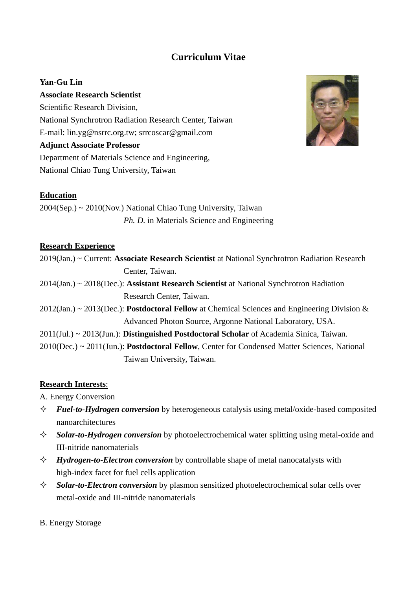# **Curriculum Vitae**

## **Yan-Gu Lin**

### **Associate Research Scientist**

Scientific Research Division, National Synchrotron Radiation Research Center, Taiwan E-mail: lin.yg@nsrrc.org.tw; [srrcoscar@gmail.com](mailto:srrcoscar@gmail.com) **Adjunct Associate Professor** Department of Materials Science and Engineering, National Chiao Tung University, Taiwan



## **Education**

2004(Sep.) ~ 2010(Nov.) National Chiao Tung University, Taiwan *Ph. D.* in Materials Science and Engineering

#### **Research Experience**

| 2019(Jan.) ~ Current: Associate Research Scientist at National Synchrotron Radiation Research |  |
|-----------------------------------------------------------------------------------------------|--|
| Center, Taiwan.                                                                               |  |

- 2014(Jan.) ~ 2018(Dec.): **Assistant Research Scientist** at National Synchrotron Radiation Research Center, Taiwan.
- 2012(Jan.) ~ 2013(Dec.): **Postdoctoral Fellow** at Chemical Sciences and Engineering Division & Advanced Photon Source, Argonne National Laboratory, USA.
- 2011(Jul.) ~ 2013(Jun.): **Distinguished Postdoctoral Scholar** of Academia Sinica, Taiwan.
- 2010(Dec.) ~ 2011(Jun.): **Postdoctoral Fellow**, Center for Condensed Matter Sciences, National Taiwan University, Taiwan.

## **Research Interests**:

A. Energy Conversion

- *Fuel-to-Hydrogen conversion* by heterogeneous catalysis using metal/oxide-based composited nanoarchitectures
- *Solar-to-Hydrogen conversion* by photoelectrochemical water splitting using metal-oxide and III-nitride nanomaterials
- *Hydrogen-to-Electron conversion* by controllable shape of metal nanocatalysts with high-index facet for fuel cells application
- *Solar-to-Electron conversion* by plasmon sensitized photoelectrochemical solar cells over metal-oxide and III-nitride nanomaterials
- B. Energy Storage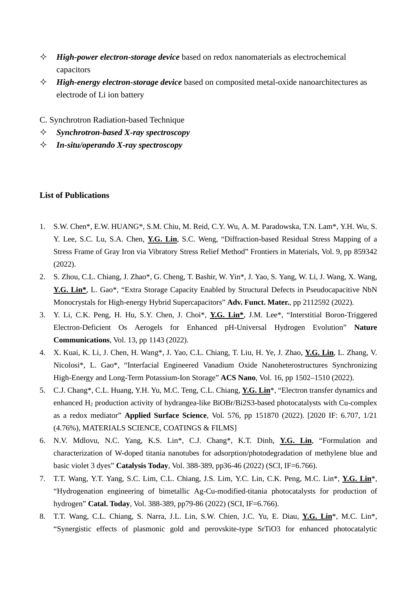- *High-power electron-storage device* based on redox nanomaterials as electrochemical capacitors
- *High-energy electron-storage device* based on composited metal-oxide nanoarchitectures as electrode of Li ion battery
- C. Synchrotron Radiation-based Technique
- *Synchrotron-based X-ray spectroscopy*
- *In-situ/operando X-ray spectroscopy*

#### **List of Publications**

- 1. S.W. Chen\*, E.W. HUANG\*, S.M. Chiu, M. Reid, C.Y. Wu, A. M. Paradowska, T.N. Lam\*, Y.H. Wu, S. Y. Lee, S.C. Lu, S.A. Chen, **Y.G. Lin**, S.C. Weng, "Diffraction-based Residual Stress Mapping of a Stress Frame of Gray Iron via Vibratory Stress Relief Method" Frontiers in Materials, Vol. 9, pp 859342 (2022).
- 2. S. Zhou, C.L. Chiang, J. Zhao\*, G. Cheng, T. Bashir, W. Yin\*, J. Yao, S. Yang, W. Li, J. Wang, X. Wang, **Y.G. Lin\***, L. Gao\*, "Extra Storage Capacity Enabled by Structural Defects in Pseudocapacitive NbN Monocrystals for High-energy Hybrid Supercapacitors" **Adv. Funct. Mater.**, pp 2112592 (2022).
- 3. Y. Li, C.K. Peng, H. Hu, S.Y. Chen, J. Choi\*, **Y.G. Lin\***, J.M. Lee\*, "Interstitial Boron-Triggered Electron-Deficient Os Aerogels for Enhanced pH-Universal Hydrogen Evolution" **Nature Communications**, Vol. 13, pp 1143 (2022).
- 4. X. Kuai, K. Li, J. Chen, H. Wang\*, J. Yao, C.L. Chiang, T. Liu, H. Ye, J. Zhao, **Y.G. Lin**, L. Zhang, V. Nicolosi\*, L. Gao\*, "Interfacial Engineered Vanadium Oxide Nanoheterostructures Synchronizing High-Energy and Long-Term Potassium-Ion Storage" **ACS Nano**, Vol. 16, pp 1502–1510 (2022).
- 5. C.J. Chang\*, C.L. Huang, Y.H. Yu, M.C. Teng, C.L. Chiang, **Y.G. Lin**\*, "Electron transfer dynamics and enhanced H<sub>2</sub> production activity of hydrangea-like BiOBr/Bi2S3-based photocatalysts with Cu-complex as a redox mediator" **Applied Surface Science**, Vol. 576, pp 151870 (2022). [2020 IF: 6.707, 1/21 (4.76%), MATERIALS SCIENCE, COATINGS & FILMS]
- 6. N.V. Mdlovu, N.C. Yang, K.S. Lin\*, C.J. Chang\*, K.T. Dinh, **Y.G. Lin**, "Formulation and characterization of W-doped titania nanotubes for adsorption/photodegradation of methylene blue and basic violet 3 dyes" **Catalysis Today**, Vol. 388-389, pp36-46 (2022) (SCI, IF=6.766).
- 7. T.T. Wang, Y.T. Yang, S.C. Lim, C.L. Chiang, J.S. Lim, Y.C. Lin, C.K. Peng, M.C. Lin\*, **Y.G. Lin**\*, "Hydrogenation engineering of bimetallic Ag-Cu-modified-titania photocatalysts for production of hydrogen" **Catal. Today**, Vol. 388-389, pp79-86 (2022) (SCI, IF=6.766).
- 8. T.T. Wang, C.L. Chiang, S. Narra, J.L. Lin, S.W. Chien, J.C. Yu, E. Diau, **Y.G. Lin**\*, M.C. Lin\*, "Synergistic effects of plasmonic gold and perovskite-type SrTiO3 for enhanced photocatalytic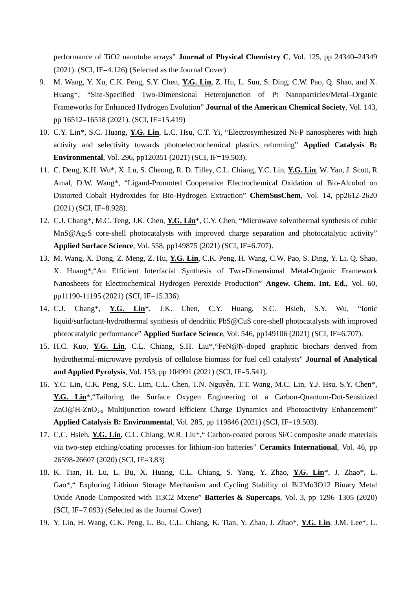performance of TiO2 nanotube arrays" **Journal of Physical Chemistry C**, Vol. 125, pp 24340–24349 (2021). (SCI, IF=4.126) (Selected as the Journal Cover)

- 9. M. Wang, Y. Xu, C.K. Peng, S.Y. Chen, **Y.G. Lin**, Z. Hu, L. Sun, S. Ding, C.W. Pao, Q. Shao, and X. Huang\*, "Site-Specified Two-Dimensional Heterojunction of Pt Nanoparticles/Metal–Organic Frameworks for Enhanced Hydrogen Evolution" **Journal of the American Chemical Society**, Vol. 143, pp 16512–16518 (2021). (SCI, IF=15.419)
- 10. C.Y. Lin\*, S.C. Huang, **Y.G. Lin**, L.C. Hsu, C.T. Yi, "Electrosynthesized Ni-P nanospheres with high activity and selectivity towards photoelectrochemical plastics reforming" **Applied Catalysis B: Environmental**, Vol. 296, pp120351 (2021) (SCI, IF=19.503).
- 11. C. Deng, K.H. Wu\*, X. Lu, S. Cheong, R. D. Tilley, C.L. Chiang, Y.C. Lin, **Y.G. Lin**, W. Yan, J. Scott, R. Amal, D.W. Wang\*, "Ligand-Promoted Cooperative Electrochemical Oxidation of Bio-Alcohol on Distorted Cobalt Hydroxides for Bio-Hydrogen Extraction" **ChemSusChem**, Vol. 14, pp2612-2620 (2021) (SCI, IF=8.928).
- 12. C.J. Chang\*, M.C. Teng, J.K. Chen, **Y.G. Lin**\*, C.Y. Chen, "Microwave solvothermal synthesis of cubic MnS@Ag<sub>2</sub>S core-shell photocatalysts with improved charge separation and photocatalytic activity" **Applied Surface Science**, Vol. 558, pp149875 (2021) (SCI, IF=6.707).
- 13. M. Wang, X. Dong, Z. Meng, Z. Hu, **Y.G. Lin**, C.K. Peng, H. Wang, C.W. Pao, S. Ding, Y. Li, Q. Shao, X. Huang\*,"An Efficient Interfacial Synthesis of Two-Dimensional Metal-Organic Framework Nanosheets for Electrochemical Hydrogen Peroxide Production" **Angew. Chem. Int. Ed.**, Vol. 60, pp11190-11195 (2021) (SCI, IF=15.336).
- 14. C.J. Chang\*, **Y.G. Lin**\*, J.K. Chen, C.Y. Huang, S.C. Hsieh, S.Y. Wu, "Ionic liquid/surfactant-hydrothermal synthesis of dendritic PbS@CuS core-shell photocatalysts with improved photocatalytic performance" **Applied Surface Science**, Vol. 546, pp149106 (2021) (SCI, IF=6.707).
- 15. H.C. Kuo, **Y.G. Lin**, C.L. Chiang, S.H. Liu\*,"FeN@N-doped graphitic biochars derived from hydrothermal-microwave pyrolysis of cellulose biomass for fuel cell catalysts" **Journal of Analytical and Applied Pyrolysis**, Vol. 153, pp 104991 (2021) (SCI, IF=5.541).
- 16. Y.C. Lin, C.K. Peng, S.C. Lim, C.L. Chen, T.N. Nguyễn, T.T. Wang, M.C. Lin, Y.J. Hsu, S.Y. Chen\*, **Y.G. Lin**\*,"Tailoring the Surface Oxygen Engineering of a Carbon-Quantum-Dot-Sensitized ZnO@H-ZnO<sub>1-x</sub> Multijunction toward Efficient Charge Dynamics and Photoactivity Enhancement" **Applied Catalysis B: Environmental**, Vol. 285, pp 119846 (2021) (SCI, IF=19.503).
- 17. C.C. Hsieh, **Y.G. Lin**, C.L. Chiang, W.R. Liu\*," Carbon-coated porous Si/C composite anode materials via two-step etching/coating processes for lithium-ion batteries" **Ceramics International**, Vol. 46, pp 26598-26607 (2020) (SCI, IF=3.83)
- 18. K. Tian, H. Lu, L. Bu, X. Huang, C.L. Chiang, S. Yang, Y. Zhao, **Y.G. Lin**\*, J. Zhao\*, L. Gao\*," Exploring Lithium Storage Mechanism and Cycling Stability of Bi2Mo3O12 Binary Metal Oxide Anode Composited with Ti3C2 Mxene" **Batteries & Supercaps**, Vol. 3, pp 1296–1305 (2020) (SCI, IF=7.093) (Selected as the Journal Cover)
- 19. Y. Lin, H. Wang, C.K. Peng, L. Bu, C.L. Chiang, K. Tian, Y. Zhao, J. Zhao\*, **Y.G. Lin**, J.M. Lee\*, L.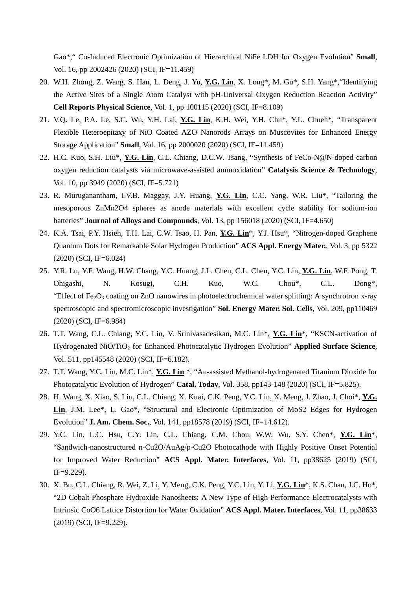Gao\*," Co-Induced Electronic Optimization of Hierarchical NiFe LDH for Oxygen Evolution" **Small**, Vol. 16, pp 2002426 (2020) (SCI, IF=11.459)

- 20. W.H. Zhong, Z. Wang, S. Han, L. Deng, J. Yu, **Y.G. Lin**, X. Long\*, M. Gu\*, S.H. Yang\*,"Identifying the Active Sites of a Single Atom Catalyst with pH-Universal Oxygen Reduction Reaction Activity" **Cell Reports Physical Science**, Vol. 1, pp 100115 (2020) (SCI, IF=8.109)
- 21. V.Q. Le, P.A. Le, S.C. Wu, Y.H. Lai, **Y.G. Lin**, K.H. Wei, Y.H. Chu\*, Y.L. Chueh\*, "Transparent Flexible Heteroepitaxy of NiO Coated AZO Nanorods Arrays on Muscovites for Enhanced Energy Storage Application" **Small**, Vol. 16, pp 2000020 (2020) (SCI, IF=11.459)
- 22. H.C. Kuo, S.H. Liu\*, **Y.G. Lin**, C.L. Chiang, D.C.W. Tsang, "Synthesis of FeCo-N@N-doped carbon oxygen reduction catalysts via microwave-assisted ammoxidation" **Catalysis Science & Technology**, Vol. 10, pp 3949 (2020) (SCI, IF=5.721)
- 23. R. Muruganantham, I.V.B. Maggay, J.Y. Huang, **Y.G. Lin**, C.C. Yang, W.R. Liu\*, "Tailoring the mesoporous ZnMn2O4 spheres as anode materials with excellent cycle stability for sodium-ion batteries" **Journal of Alloys and Compounds**, Vol. 13, pp 156018 (2020) (SCI, IF=4.650)
- 24. K.A. Tsai, P.Y. Hsieh, T.H. Lai, C.W. Tsao, H. Pan, **Y.G. Lin**\*, Y.J. Hsu\*, "Nitrogen-doped Graphene Quantum Dots for Remarkable Solar Hydrogen Production" **ACS Appl. Energy Mater.**, Vol. 3, pp 5322 (2020) (SCI, IF=6.024)
- 25. Y.R. Lu, Y.F. Wang, H.W. Chang, Y.C. Huang, J.L. Chen, C.L. Chen, Y.C. Lin, **Y.G. Lin**, W.F. Pong, T. Ohigashi, N. Kosugi, C.H. Kuo, W.C. Chou\*, C.L. Dong\*, "Effect of Fe<sub>2</sub>O<sub>3</sub> coating on ZnO nanowires in photoelectrochemical water splitting: A synchrotron x-ray spectroscopic and spectromicroscopic investigation" **Sol. Energy Mater. Sol. Cells**, Vol. 209, pp110469 (2020) (SCI, IF=6.984)
- 26. T.T. Wang, C.L. Chiang, Y.C. Lin, V. Srinivasadesikan, M.C. Lin\*, **Y.G. Lin**\*, "KSCN-activation of Hydrogenated NiO/TiO2 for Enhanced Photocatalytic Hydrogen Evolution" **Applied Surface Science**, Vol. 511, pp145548 (2020) (SCI, IF=6.182).
- 27. T.T. Wang, Y.C. Lin, M.C. Lin\*, **Y.G. Lin** \*, "Au-assisted Methanol-hydrogenated Titanium Dioxide for Photocatalytic Evolution of Hydrogen" **Catal. Today**, Vol. 358, pp143-148 (2020) (SCI, IF=5.825).
- 28. H. Wang, X. Xiao, S. Liu, C.L. Chiang, X. Kuai, C.K. Peng, Y.C. Lin, X. Meng, J. Zhao, J. Choi\*, **Y.G. Lin**, J.M. Lee\*, L. Gao\*, "Structural and Electronic Optimization of MoS2 Edges for Hydrogen Evolution" **J. Am. Chem. Soc.**, Vol. 141, pp18578 (2019) (SCI, IF=14.612).
- 29. Y.C. Lin, L.C. Hsu, C.Y. Lin, C.L. Chiang, C.M. Chou, W.W. Wu, S.Y. Chen\*, **Y.G. Lin**\*, "Sandwich-nanostructured n-Cu2O/AuAg/p-Cu2O Photocathode with Highly Positive Onset Potential for Improved Water Reduction" **ACS Appl. Mater. Interfaces**, Vol. 11, pp38625 (2019) (SCI, IF=9.229).
- 30. X. Bu, C.L. Chiang, R. Wei, Z. Li, Y. Meng, C.K. Peng, Y.C. Lin, Y. Li, **Y.G. Lin**\*, K.S. Chan, J.C. Ho\*, "2D Cobalt Phosphate Hydroxide Nanosheets: A New Type of High-Performance Electrocatalysts with Intrinsic CoO6 Lattice Distortion for Water Oxidation" **ACS Appl. Mater. Interfaces**, Vol. 11, pp38633 (2019) (SCI, IF=9.229).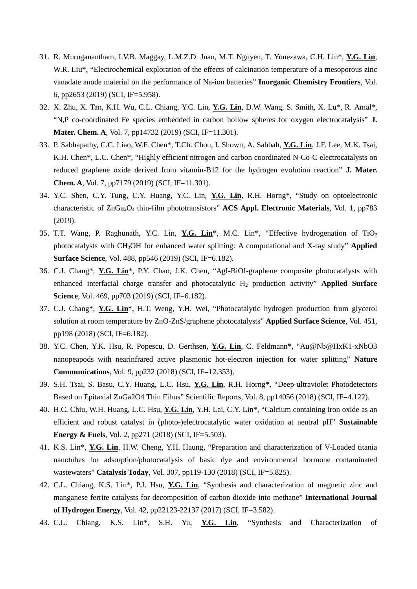- 31. R. Muruganantham, I.V.B. Maggay, L.M.Z.D. Juan, M.T. Nguyen, T. Yonezawa, C.H. Lin\*, **Y.G. Lin**, W.R. Liu<sup>\*</sup>, "Electrochemical exploration of the effects of calcination temperature of a mesoporous zinc vanadate anode material on the performance of Na-ion batteries" **Inorganic Chemistry Frontiers**, Vol. 6, pp2653 (2019) (SCI, IF=5.958).
- 32. X. Zhu, X. Tan, K.H. Wu, C.L. Chiang, Y.C. Lin, **Y.G. Lin**, D.W. Wang, S. Smith, X. Lu\*, R. Amal\*, "N,P co-coordinated Fe species embedded in carbon hollow spheres for oxygen electrocatalysis" **J. Mater. Chem. A**, Vol. 7, pp14732 (2019) (SCI, IF=11.301).
- 33. P. Sabhapathy, C.C. Liao, W.F. Chen\*, T.Ch. Chou, I. Shown, A. Sabbah, **Y.G. Lin**, J.F. Lee, M.K. Tsai, K.H. Chen\*, L.C. Chen\*, "Highly efficient nitrogen and carbon coordinated N-Co-C electrocatalysts on reduced graphene oxide derived from vitamin-B12 for the hydrogen evolution reaction" **J. Mater. Chem. A**, Vol. 7, pp7179 (2019) (SCI, IF=11.301).
- 34. Y.C. Shen, C.Y. Tung, C.Y. Huang, Y.C. Lin, **Y.G. Lin**, R.H. Horng\*, "Study on optoelectronic characteristic of ZnGa2O4 thin-film phototransistors" **ACS Appl. Electronic Materials**, Vol. 1, pp783 (2019).
- 35. T.T. Wang, P. Raghunath, Y.C. Lin, **Y.G. Lin**\*, M.C. Lin\*, "Effective hydrogenation of TiO2 photocatalysts with CH3OH for enhanced water splitting: A computational and X-ray study" **Applied Surface Science**, Vol. 488, pp546 (2019) (SCI, IF=6.182).
- 36. C.J. Chang\*, **Y.G. Lin**\*, P.Y. Chao, J.K. Chen, "AgI-BiOI-graphene composite photocatalysts with enhanced interfacial charge transfer and photocatalytic H<sub>2</sub> production activity" **Applied Surface Science**, Vol. 469, pp703 (2019) (SCI, IF=6.182).
- 37. C.J. Chang\*, **Y.G. Lin**\*, H.T. Weng, Y.H. Wei, "Photocatalytic hydrogen production from glycerol solution at room temperature by ZnO-ZnS/graphene photocatalysts" **Applied Surface Science**, Vol. 451, pp198 (2018) (SCI, IF=6.182).
- 38. Y.C. Chen, Y.K. Hsu, R. Popescu, D. Gerthsen, **Y.G. Lin**, C. Feldmann\*, "Au@Nb@HxK1-xNbO3 nanopeapods with nearinfrared active plasmonic hot-electron injection for water splitting" **Nature Communications**, Vol. 9, pp232 (2018) (SCI, IF=12.353).
- 39. S.H. Tsai, S. Basu, C.Y. Huang, L.C. Hsu, **Y.G. Lin**, R.H. Horng\*, "Deep-ultraviolet Photodetectors Based on Epitaxial ZnGa2O4 Thin Films" Scientific Reports, Vol. 8, pp14056 (2018) (SCI, IF=4.122).
- 40. H.C. Chiu, W.H. Huang, L.C. Hsu, **Y.G. Lin**, Y.H. Lai, C.Y. Lin\*, "Calcium containing iron oxide as an efficient and robust catalyst in (photo-)electrocatalytic water oxidation at neutral pH" **Sustainable Energy & Fuels**, Vol. 2, pp271 (2018) (SCI, IF=5.503).
- 41. K.S. Lin\*, **Y.G. Lin**, H.W. Cheng, Y.H. Haung, "Preparation and characterization of V-Loaded titania nanotubes for adsorption/photocatalysis of basic dye and environmental hormone contaminated wastewaters" **Catalysis Today**, Vol. 307, pp119-130 (2018) (SCI, IF=5.825).
- 42. C.L. Chiang, K.S. Lin\*, P.J. Hsu, **Y.G. Lin**, "Synthesis and characterization of magnetic zinc and manganese ferrite catalysts for decomposition of carbon dioxide into methane" **International Journal of Hydrogen Energy**, Vol. 42, pp22123-22137 (2017) (SCI, IF=3.582).
- 43. C.L. Chiang, K.S. Lin\*, S.H. Yu, **Y.G. Lin**, "Synthesis and Characterization of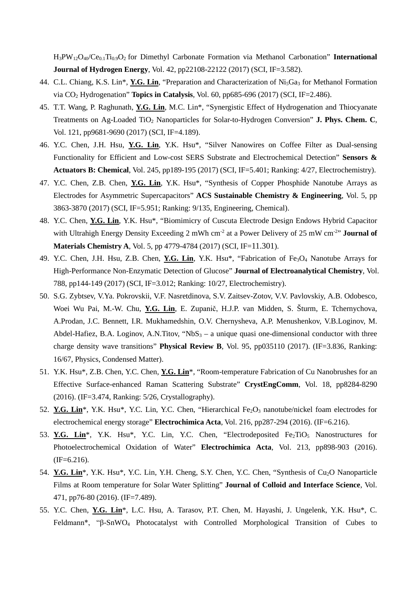H3PW12O40/Ce0.1Ti0.9O2 for Dimethyl Carbonate Formation via Methanol Carbonation" **International Journal of Hydrogen Energy**, Vol. 42, pp22108-22122 (2017) (SCI, IF=3.582).

- 44. C.L. Chiang, K.S. Lin\*, **Y.G. Lin**, "Preparation and Characterization of Ni5Ga3 for Methanol Formation via CO2 Hydrogenation" **Topics in Catalysis**, Vol. 60, pp685-696 (2017) (SCI, IF=2.486).
- 45. T.T. Wang, P. Raghunath, **Y.G. Lin**, M.C. Lin\*, "Synergistic Effect of Hydrogenation and Thiocyanate Treatments on Ag-Loaded TiO2 Nanoparticles for Solar-to-Hydrogen Conversion" **J. Phys. Chem. C**, Vol. 121, pp9681-9690 (2017) (SCI, IF=4.189).
- 46. Y.C. Chen, J.H. Hsu, **Y.G. Lin**, Y.K. Hsu\*, "Silver Nanowires on Coffee Filter as Dual-sensing Functionality for Efficient and Low-cost SERS Substrate and Electrochemical Detection" **Sensors & Actuators B: Chemical**, Vol. 245, pp189-195 (2017) (SCI, IF=5.401; Ranking: 4/27, Electrochemistry).
- 47. Y.C. Chen, Z.B. Chen, **Y.G. Lin**, Y.K. Hsu\*, "Synthesis of Copper Phosphide Nanotube Arrays as Electrodes for Asymmetric Supercapacitors" **ACS Sustainable Chemistry & Engineering**, Vol. 5, pp 3863-3870 (2017) (SCI, IF=5.951; Ranking: 9/135, Engineering, Chemical).
- 48. Y.C. Chen, **Y.G. Lin**, Y.K. Hsu\*, "Biomimicry of Cuscuta Electrode Design Endows Hybrid Capacitor with Ultrahigh Energy Density Exceeding 2 mWh cm<sup>-2</sup> at a Power Delivery of 25 mW cm<sup>-2</sup>" **Journal of Materials Chemistry A**, Vol. 5, pp 4779-4784 (2017) (SCI, IF=11.301).
- 49. Y.C. Chen, J.H. Hsu, Z.B. Chen, **Y.G. Lin**, Y.K. Hsu\*, "Fabrication of Fe3O4 Nanotube Arrays for High-Performance Non-Enzymatic Detection of Glucose" **Journal of Electroanalytical Chemistry**, Vol. 788, pp144-149 (2017) (SCI, IF=3.012; Ranking: 10/27, Electrochemistry).
- 50. S.G. Zybtsev, V.Ya. Pokrovskii, V.F. Nasretdinova, S.V. Zaitsev-Zotov, V.V. Pavlovskiy, A.B. Odobesco, Woei Wu Pai, M.-W. Chu, **Y.G. Lin**, E. Zupanič, H.J.P. van Midden, S. Šturm, E. Tchernychova, A.Prodan, J.C. Bennett, I.R. Mukhamedshin, O.V. Chernysheva, A.P. Menushenkov, V.B.Loginov, M. Abdel-Hafiez, B.A. Loginov, A.N.Titov, "Nb $S_3 - a$  unique quasi one-dimensional conductor with three charge density wave transitions" **Physical Review B**, Vol. 95, pp035110 (2017). (IF=3.836, Ranking: 16/67, Physics, Condensed Matter).
- 51. Y.K. Hsu\*, Z.B. Chen, Y.C. Chen, **Y.G. Lin**\*, "Room-temperature Fabrication of Cu Nanobrushes for an Effective Surface-enhanced Raman Scattering Substrate" **CrystEngComm**, Vol. 18, pp8284-8290 (2016). (IF=3.474, Ranking: 5/26, Crystallography).
- 52. **Y.G. Lin**<sup>\*</sup>, Y.K. Hsu<sup>\*</sup>, Y.C. Lin, Y.C. Chen, "Hierarchical Fe<sub>2</sub>O<sub>3</sub> nanotube/nickel foam electrodes for electrochemical energy storage" **Electrochimica Acta**, Vol. 216, pp287-294 (2016). (IF=6.216).
- 53. Y.G. Lin<sup>\*</sup>, Y.K. Hsu<sup>\*</sup>, Y.C. Lin, Y.C. Chen, "Electrodeposited Fe<sub>2</sub>TiO<sub>5</sub> Nanostructures for Photoelectrochemical Oxidation of Water" **Electrochimica Acta**, Vol. 213, pp898-903 (2016).  $(IF=6.216).$
- 54. Y.G. Lin<sup>\*</sup>, Y.K. Hsu<sup>\*</sup>, Y.C. Lin, Y.H. Cheng, S.Y. Chen, Y.C. Chen, "Synthesis of Cu<sub>2</sub>O Nanoparticle Films at Room temperature for Solar Water Splitting" **Journal of Colloid and Interface Science**, Vol. 471, pp76-80 (2016). (IF=7.489).
- 55. Y.C. Chen, **Y.G. Lin**\*, L.C. Hsu, A. Tarasov, P.T. Chen, M. Hayashi, J. Ungelenk, Y.K. Hsu\*, C. Feldmann\*, "β-SnWO4 Photocatalyst with Controlled Morphological Transition of Cubes to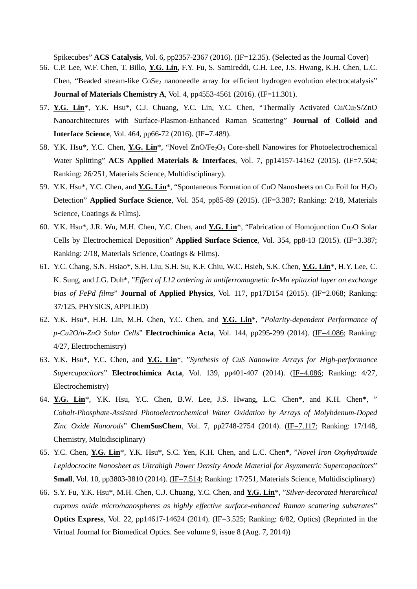Spikecubes" **ACS Catalysis**, Vol. 6, pp2357-2367 (2016). (IF=12.35). (Selected as the Journal Cover)

- 56. C.P. Lee, W.F. Chen, T. Billo, **Y.G. Lin**, F.Y. Fu, S. Samireddi, C.H. Lee, J.S. Hwang, K.H. Chen, L.C. Chen, "Beaded stream-like CoSe<sub>2</sub> nanoneedle array for efficient hydrogen evolution electrocatalysis" **Journal of Materials Chemistry A**, Vol. 4, pp4553-4561 (2016). (IF=11.301).
- 57. **Y.G. Lin**\*, Y.K. Hsu\*, C.J. Chuang, Y.C. Lin, Y.C. Chen, "Thermally Activated Cu/Cu2S/ZnO Nanoarchitectures with Surface-Plasmon-Enhanced Raman Scattering" **Journal of Colloid and Interface Science**, Vol. 464, pp66-72 (2016). (IF=7.489).
- 58. Y.K. Hsu<sup>\*</sup>, Y.C. Chen, **Y.G. Lin**<sup>\*</sup>, "Novel ZnO/Fe<sub>2</sub>O<sub>3</sub> Core-shell Nanowires for Photoelectrochemical Water Splitting" **ACS Applied Materials & Interfaces**, Vol. 7, pp14157-14162 (2015). (IF=7.504; Ranking: 26/251, Materials Science, Multidisciplinary).
- 59. Y.K. Hsu<sup>\*</sup>, Y.C. Chen, and Y.G. Lin<sup>\*</sup>, "Spontaneous Formation of CuO Nanosheets on Cu Foil for H<sub>2</sub>O<sub>2</sub> Detection" **Applied Surface Science**, Vol. 354, pp85-89 (2015). (IF=3.387; Ranking: 2/18, Materials Science, Coatings & Films).
- 60. Y.K. Hsu\*, J.R. Wu, M.H. Chen, Y.C. Chen, and **Y.G. Lin**\*, "Fabrication of Homojunction Cu2O Solar Cells by Electrochemical Deposition" **Applied Surface Science**, Vol. 354, pp8-13 (2015). (IF=3.387; Ranking: 2/18, Materials Science, Coatings & Films).
- 61. Y.C. Chang, S.N. Hsiao\*, S.H. Liu, S.H. Su, K.F. Chiu, W.C. Hsieh, S.K. Chen, **Y.G. Lin**\*, H.Y. Lee, C. K. Sung, and J.G. Duh\*, "*Effect of L12 ordering in antiferromagnetic Ir-Mn epitaxial layer on exchange bias of FePd films*" **Journal of Applied Physics**, Vol. 117, pp17D154 (2015). (IF=2.068; Ranking: 37/125, PHYSICS, APPLIED)
- 62. Y.K. Hsu\*, H.H. Lin, M.H. Chen, Y.C. Chen, and **Y.G. Lin**\*, "*Polarity-dependent Performance of p-Cu2O/n-ZnO Solar Cells*" **Electrochimica Acta**, Vol. 144, pp295-299 (2014). (IF=4.086; Ranking: 4/27, Electrochemistry)
- 63. Y.K. Hsu\*, Y.C. Chen, and **Y.G. Lin**\*, "*Synthesis of CuS Nanowire Arrays for High-performance Supercapacitors*" **Electrochimica Acta**, Vol. 139, pp401-407 (2014). (IF=4.086; Ranking: 4/27, Electrochemistry)
- 64. **Y.G. Lin**\*, Y.K. Hsu, Y.C. Chen, B.W. Lee, J.S. Hwang, L.C. Chen\*, and K.H. Chen\*, " *Cobalt-Phosphate-Assisted Photoelectrochemical Water Oxidation by Arrays of Molybdenum-Doped Zinc Oxide Nanorods*" **ChemSusChem**, Vol. 7, pp2748-2754 (2014). (IF=7.117; Ranking: 17/148, Chemistry, Multidisciplinary)
- 65. Y.C. Chen, **Y.G. Lin**\*, Y.K. Hsu\*, S.C. Yen, K.H. Chen, and L.C. Chen\*, "*Novel Iron Oxyhydroxide Lepidocrocite Nanosheet as Ultrahigh Power Density Anode Material for Asymmetric Supercapacitors*" **Small**, Vol. 10, pp3803-3810 (2014). (IF=7.514; Ranking: 17/251, Materials Science, Multidisciplinary)
- 66. S.Y. Fu, Y.K. Hsu\*, M.H. Chen, C.J. Chuang, Y.C. Chen, and **Y.G. Lin**\*, "*Silver-decorated hierarchical cuprous oxide micro/nanospheres as highly effective surface-enhanced Raman scattering substrates*" **Optics Express**, Vol. 22, pp14617-14624 (2014). (IF=3.525; Ranking: 6/82, Optics) (Reprinted in the Virtual Journal for Biomedical Optics. See volume 9, issue 8 (Aug. 7, 2014))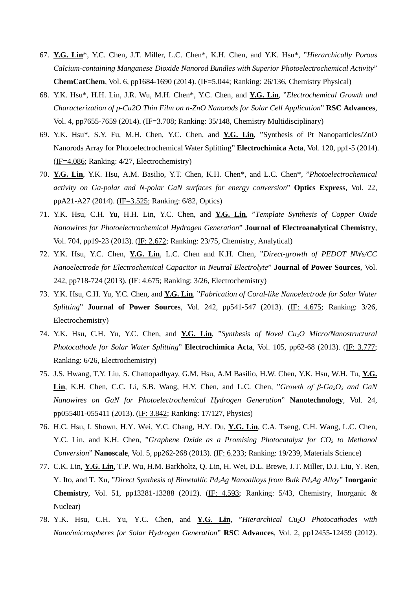- 67. **Y.G. Lin**\*, Y.C. Chen, J.T. Miller, L.C. Chen\*, K.H. Chen, and Y.K. Hsu\*, "*Hierarchically Porous Calcium-containing Manganese Dioxide Nanorod Bundles with Superior Photoelectrochemical Activity*" **ChemCatChem**, Vol. 6, pp1684-1690 (2014). (IF=5.044; Ranking: 26/136, Chemistry Physical)
- 68. Y.K. Hsu\*, H.H. Lin, J.R. Wu, M.H. Chen\*, Y.C. Chen, and **Y.G. Lin**, "*Electrochemical Growth and Characterization of p-Cu2O Thin Film on n-ZnO Nanorods for Solar Cell Application*" **RSC Advances**, Vol. 4, pp7655-7659 (2014). (IF=3.708; Ranking: 35/148, Chemistry Multidisciplinary)
- 69. Y.K. Hsu\*, S.Y. Fu, M.H. Chen, Y.C. Chen, and **Y.G. Lin**, "Synthesis of Pt Nanoparticles/ZnO Nanorods Array for Photoelectrochemical Water Splitting" **Electrochimica Acta**, Vol. 120, pp1-5 (2014). (IF=4.086; Ranking: 4/27, Electrochemistry)
- 70. **Y.G. Lin**, Y.K. Hsu, A.M. Basilio, Y.T. Chen, K.H. Chen\*, and L.C. Chen\*, "*Photoelectrochemical activity on Ga-polar and N-polar GaN surfaces for energy conversion*" **Optics Express**, Vol. 22, ppA21-A27 (2014). (IF=3.525; Ranking: 6/82, Optics)
- 71. Y.K. Hsu, C.H. Yu, H.H. Lin, Y.C. Chen, and **Y.G. Lin**, "*Template Synthesis of Copper Oxide Nanowires for Photoelectrochemical Hydrogen Generation*" **Journal of Electroanalytical Chemistry**, Vol. 704, pp19-23 (2013). (IF: 2.672; Ranking: 23/75, Chemistry, Analytical)
- 72. Y.K. Hsu, Y.C. Chen, **Y.G. Lin**, L.C. Chen and K.H. Chen, "*Direct-growth of PEDOT NWs/CC Nanoelectrode for Electrochemical Capacitor in Neutral Electrolyte*" **Journal of Power Sources**, Vol. 242, pp718-724 (2013). (IF: 4.675; Ranking: 3/26, Electrochemistry)
- 73. Y.K. Hsu, C.H. Yu, Y.C. Chen, and **Y.G. Lin**, "*Fabrication of Coral-like Nanoelectrode for Solar Water Splitting*" **Journal of Power Sources**, Vol. 242, pp541-547 (2013). (IF: 4.675; Ranking: 3/26, Electrochemistry)
- 74. Y.K. Hsu, C.H. Yu, Y.C. Chen, and **Y.G. Lin**, "*Synthesis of Novel Cu2O Micro/Nanostructural Photocathode for Solar Water Splitting*" **Electrochimica Acta**, Vol. 105, pp62-68 (2013). (IF: 3.777; Ranking: 6/26, Electrochemistry)
- 75. J.S. Hwang, T.Y. Liu, S. Chattopadhyay, G.M. Hsu, A.M Basilio, H.W. Chen, Y.K. Hsu, W.H. Tu, **Y.G. Lin**, K.H. Chen, C.C. Li, S.B. Wang, H.Y. Chen, and L.C. Chen, "*Growth of β-Ga2O3 and GaN Nanowires on GaN for Photoelectrochemical Hydrogen Generation*" **Nanotechnology**, Vol. 24, pp055401-055411 (2013). (IF: 3.842; Ranking: 17/127, Physics)
- 76. H.C. Hsu, I. Shown, H.Y. Wei, Y.C. Chang, H.Y. Du, **Y.G. Lin**, C.A. Tseng, C.H. Wang, L.C. Chen, Y.C. Lin, and K.H. Chen, "*Graphene Oxide as a Promising Photocatalyst for CO2 to Methanol Conversion*" **Nanoscale**, Vol. 5, pp262-268 (2013). (IF: 6.233; Ranking: 19/239, Materials Science)
- 77. C.K. Lin, **Y.G. Lin**, T.P. Wu, H.M. Barkholtz, Q. Lin, H. Wei, D.L. Brewe, J.T. Miller, D.J. Liu, Y. Ren, Y. Ito, and T. Xu, "*Direct Synthesis of Bimetallic Pd3Ag Nanoalloys from Bulk Pd3Ag Alloy*" **Inorganic Chemistry**, Vol. 51, pp13281-13288 (2012). (IF: 4.593; Ranking: 5/43, Chemistry, Inorganic & Nuclear)
- 78. Y.K. Hsu, C.H. Yu, Y.C. Chen, and **Y.G. Lin**, "*Hierarchical Cu2O Photocathodes with Nano/microspheres for Solar Hydrogen Generation*" **RSC Advances**, Vol. 2, pp12455-12459 (2012).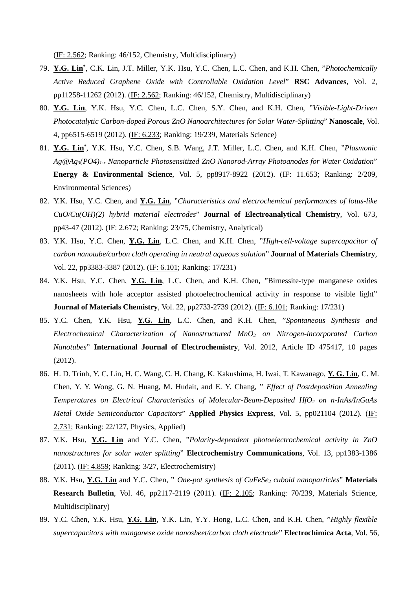(IF: 2.562; Ranking: 46/152, Chemistry, Multidisciplinary)

- 79. **Y.G. Lin\*** , C.K. Lin, J.T. Miller, Y.K. Hsu, Y.C. Chen, L.C. Chen, and K.H. Chen, "*Photochemically Active Reduced Graphene Oxide with Controllable Oxidation Level*" **RSC Advances**, Vol. 2, pp11258-11262 (2012). (IF: 2.562; Ranking: 46/152, Chemistry, Multidisciplinary)
- 80. **Y.G. Lin**, Y.K. Hsu, Y.C. Chen, L.C. Chen, S.Y. Chen, and K.H. Chen, "*Visible-Light-Driven Photocatalytic Carbon-doped Porous ZnO Nanoarchitectures for Solar Water-Splitting*" **Nanoscale**, Vol. 4, pp6515-6519 (2012). (IF: 6.233; Ranking: 19/239, Materials Science)
- 81. **Y.G. Lin\*** , Y.K. Hsu, Y.C. Chen, S.B. Wang, J.T. Miller, L.C. Chen, and K.H. Chen, "*Plasmonic Ag@Ag3(PO4)1-x Nanoparticle Photosensitized ZnO Nanorod-Array Photoanodes for Water Oxidation*" **Energy & Environmental Science**, Vol. 5, pp8917-8922 (2012). (IF: 11.653; Ranking: 2/209, Environmental Sciences)
- 82. Y.K. Hsu, Y.C. Chen, and **Y.G. Lin**, "*Characteristics and electrochemical performances of lotus-like CuO/Cu(OH)(2) hybrid material electrodes*" **Journal of Electroanalytical Chemistry**, Vol. 673, pp43-47 (2012). (IF: 2.672; Ranking: 23/75, Chemistry, Analytical)
- 83. Y.K. Hsu, Y.C. Chen, **Y.G. Lin**, L.C. Chen, and K.H. Chen, "*High-cell-voltage supercapacitor of carbon nanotube/carbon cloth operating in neutral aqueous solution*" **Journal of Materials Chemistry**, Vol. 22, pp3383-3387 (2012). (IF: 6.101; Ranking: 17/231)
- 84. Y.K. Hsu, Y.C. Chen, **Y.G. Lin**, L.C. Chen, and K.H. Chen, "Birnessite-type manganese oxides nanosheets with hole acceptor assisted photoelectrochemical activity in response to visible light" **Journal of Materials Chemistry**, Vol. 22, pp2733-2739 (2012). (IF: 6.101; Ranking: 17/231)
- 85. Y.C. Chen, Y.K. Hsu, **Y.G. Lin**, L.C. Chen, and K.H. Chen, "*Spontaneous Synthesis and Electrochemical Characterization of Nanostructured MnO2 on Nitrogen-incorporated Carbon Nanotubes*" **International Journal of Electrochemistry**, Vol. 2012, Article ID 475417, 10 pages (2012).
- 86. H. D. Trinh, Y. C. Lin, H. C. Wang, C. H. Chang, K. Kakushima, H. Iwai, T. Kawanago, **Y. G. Lin**, C. M. Chen, Y. Y. Wong, G. N. Huang, M. Hudait, and E. Y. Chang, " *Effect of Postdeposition Annealing Temperatures on Electrical Characteristics of Molecular-Beam-Deposited HfO2 on n-InAs/InGaAs Metal–Oxide–Semiconductor Capacitors*" **Applied Physics Express**, Vol. 5, pp021104 (2012). (IF: 2.731; Ranking: 22/127, Physics, Applied)
- 87. Y.K. Hsu, **Y.G. Lin** and Y.C. Chen, "*Polarity-dependent photoelectrochemical activity in ZnO nanostructures for solar water splitting*" **Electrochemistry Communications**, Vol. 13, pp1383-1386 (2011). (IF: 4.859; Ranking: 3/27, Electrochemistry)
- 88. Y.K. Hsu, Y.G. Lin and Y.C. Chen, " One-pot synthesis of CuFeSe<sub>2</sub> cuboid nanoparticles" Materials **Research Bulletin**, Vol. 46, pp2117-2119 (2011). (IF: 2.105; Ranking: 70/239, Materials Science, Multidisciplinary)
- 89. Y.C. Chen, Y.K. Hsu, **Y.G. Lin**, Y.K. Lin, Y.Y. Hong, L.C. Chen, and K.H. Chen, "*Highly flexible supercapacitors with manganese oxide nanosheet/carbon cloth electrode*" **Electrochimica Acta**, Vol. 56,